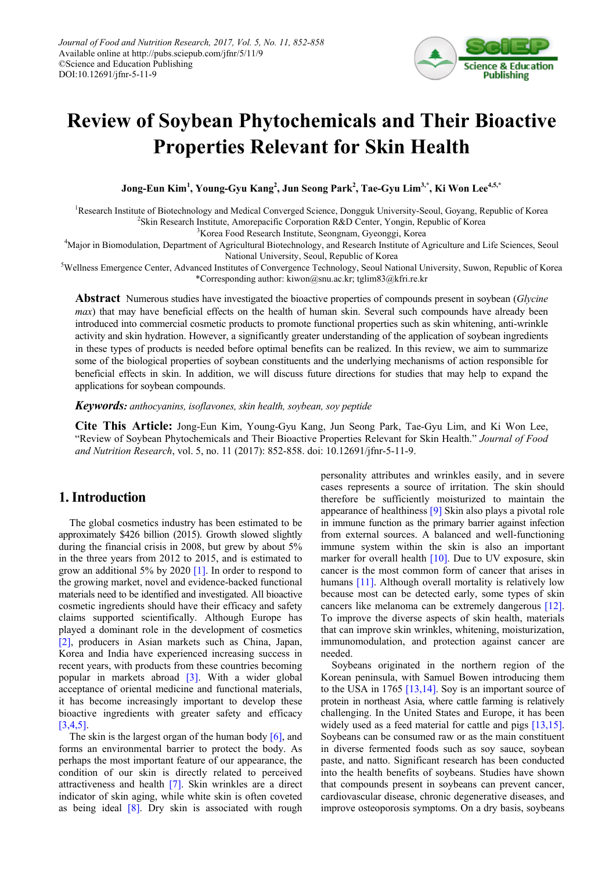

# **Review of Soybean Phytochemicals and Their Bioactive Properties Relevant for Skin Health**

**Jong-Eun Kim1 , Young-Gyu Kang<sup>2</sup> , Jun Seong Park<sup>2</sup> , Tae-Gyu Lim3,\*, Ki Won Lee4,5,\***

<sup>1</sup>Research Institute of Biotechnology and Medical Converged Science, Dongguk University-Seoul, Goyang, Republic of Korea <sup>2</sup>Skin Research Institute, Amorepacific Corporation R&D Center, Yongin, Republic of Korea

<sup>3</sup>Korea Food Research Institute, Seongnam, Gyeonggi, Korea

<sup>4</sup>Major in Biomodulation, Department of Agricultural Biotechnology, and Research Institute of Agriculture and Life Sciences, Seoul National University, Seoul, Republic of Korea

<sup>5</sup>Wellness Emergence Center, Advanced Institutes of Convergence Technology, Seoul National University, Suwon, Republic of Korea \*Corresponding author: kiwon@snu.ac.kr; tglim83@kfri.re.kr

**Abstract** Numerous studies have investigated the bioactive properties of compounds present in soybean (*Glycine max*) that may have beneficial effects on the health of human skin. Several such compounds have already been introduced into commercial cosmetic products to promote functional properties such as skin whitening, anti-wrinkle activity and skin hydration. However, a significantly greater understanding of the application of soybean ingredients in these types of products is needed before optimal benefits can be realized. In this review, we aim to summarize some of the biological properties of soybean constituents and the underlying mechanisms of action responsible for beneficial effects in skin. In addition, we will discuss future directions for studies that may help to expand the applications for soybean compounds.

*Keywords: anthocyanins, isoflavones, skin health, soybean, soy peptide*

**Cite This Article:** Jong-Eun Kim, Young-Gyu Kang, Jun Seong Park, Tae-Gyu Lim, and Ki Won Lee, "Review of Soybean Phytochemicals and Their Bioactive Properties Relevant for Skin Health." *Journal of Food and Nutrition Research*, vol. 5, no. 11 (2017): 852-858. doi: 10.12691/jfnr-5-11-9.

# **1. Introduction**

The global cosmetics industry has been estimated to be approximately \$426 billion (2015). Growth slowed slightly during the financial crisis in 2008, but grew by about 5% in the three years from 2012 to 2015, and is estimated to grow an additional 5% by 2020 [\[1\].](#page-4-0) In order to respond to the growing market, novel and evidence-backed functional materials need to be identified and investigated. All bioactive cosmetic ingredients should have their efficacy and safety claims supported scientifically. Although Europe has played a dominant role in the development of cosmetics [\[2\],](#page-4-1) producers in Asian markets such as China, Japan, Korea and India have experienced increasing success in recent years, with products from these countries becoming popular in markets abroad [\[3\].](#page-4-2) With a wider global acceptance of oriental medicine and functional materials, it has become increasingly important to develop these bioactive ingredients with greater safety and efficacy [\[3,4,5\].](#page-4-2) 

The skin is the largest organ of the human body [\[6\],](#page-4-3) and forms an environmental barrier to protect the body. As perhaps the most important feature of our appearance, the condition of our skin is directly related to perceived attractiveness and health [\[7\].](#page-4-4) Skin wrinkles are a direct indicator of skin aging, while white skin is often coveted as being ideal  $[8]$ . Dry skin is associated with rough personality attributes and wrinkles easily, and in severe cases represents a source of irritation. The skin should therefore be sufficiently moisturized to maintain the appearance of healthines[s \[9\]](#page-4-6) Skin also plays a pivotal role in immune function as the primary barrier against infection from external sources. A balanced and well-functioning immune system within the skin is also an important marker for overall health  $[10]$ . Due to UV exposure, skin cancer is the most common form of cancer that arises in humans [\[11\].](#page-4-8) Although overall mortality is relatively low because most can be detected early, some types of skin cancers like melanoma can be extremely dangerous [\[12\].](#page-4-9) To improve the diverse aspects of skin health, materials that can improve skin wrinkles, whitening, moisturization, immunomodulation, and protection against cancer are needed.

Soybeans originated in the northern region of the Korean peninsula, with Samuel Bowen introducing them to the USA in 1765 [\[13,14\].](#page-4-10) Soy is an important source of protein in northeast Asia, where cattle farming is relatively challenging. In the United States and Europe, it has been widely used as a feed material for cattle and pigs [\[13,15\].](#page-4-10) Soybeans can be consumed raw or as the main constituent in diverse fermented foods such as soy sauce, soybean paste, and natto. Significant research has been conducted into the health benefits of soybeans. Studies have shown that compounds present in soybeans can prevent cancer, cardiovascular disease, chronic degenerative diseases, and improve osteoporosis symptoms. On a dry basis, soybeans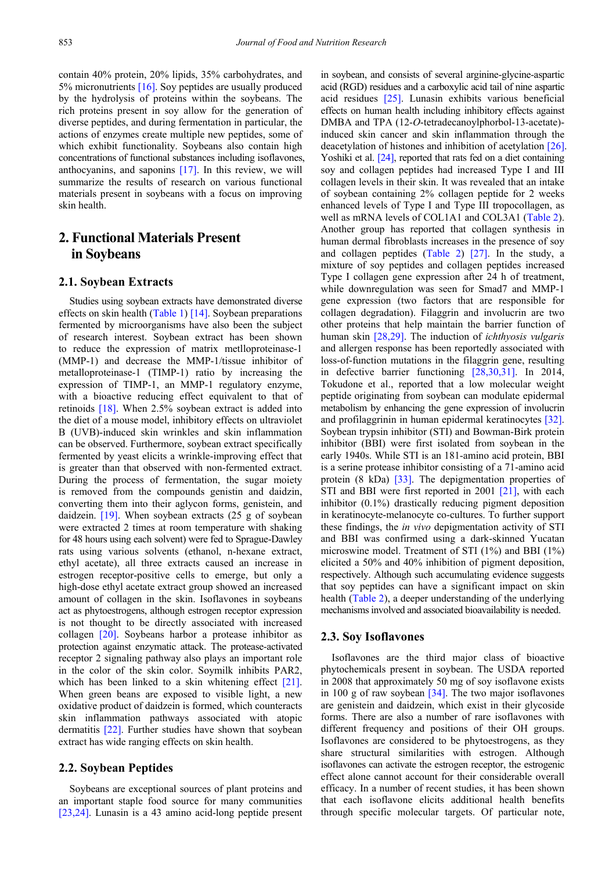contain 40% protein, 20% lipids, 35% carbohydrates, and 5% micronutrients [\[16\].](#page-4-11) Soy peptides are usually produced by the hydrolysis of proteins within the soybeans. The rich proteins present in soy allow for the generation of diverse peptides, and during fermentation in particular, the actions of enzymes create multiple new peptides, some of which exhibit functionality. Soybeans also contain high concentrations of functional substances including isoflavones, anthocyanins, and saponins [\[17\].](#page-4-12) In this review, we will summarize the results of research on various functional materials present in soybeans with a focus on improving skin health.

# **2. Functional Materials Present in Soybeans**

#### **2.1. Soybean Extracts**

Studies using soybean extracts have demonstrated diverse effects on skin health [\(Table 1\)](#page-2-0) [\[14\].](#page-4-13) Soybean preparations fermented by microorganisms have also been the subject of research interest. Soybean extract has been shown to reduce the expression of matrix metlloproteinase-1 (MMP-1) and decrease the MMP-1/tissue inhibitor of metalloproteinase-1 (TIMP-1) ratio by increasing the expression of TIMP-1, an MMP-1 regulatory enzyme, with a bioactive reducing effect equivalent to that of retinoids [\[18\].](#page-4-14) When 2.5% soybean extract is added into the diet of a mouse model, inhibitory effects on ultraviolet B (UVB)-induced skin wrinkles and skin inflammation can be observed. Furthermore, soybean extract specifically fermented by yeast elicits a wrinkle-improving effect that is greater than that observed with non-fermented extract. During the process of fermentation, the sugar moiety is removed from the compounds genistin and daidzin, converting them into their aglycon forms, genistein, and daidzein. [\[19\].](#page-4-15) When soybean extracts (25 g of soybean were extracted 2 times at room temperature with shaking for 48 hours using each solvent) were fed to Sprague-Dawley rats using various solvents (ethanol, n-hexane extract, ethyl acetate), all three extracts caused an increase in estrogen receptor-positive cells to emerge, but only a high-dose ethyl acetate extract group showed an increased amount of collagen in the skin. Isoflavones in soybeans act as phytoestrogens, although estrogen receptor expression is not thought to be directly associated with increased collagen [\[20\].](#page-4-16) Soybeans harbor a protease inhibitor as protection against enzymatic attack. The protease-activated receptor 2 signaling pathway also plays an important role in the color of the skin color. Soymilk inhibits PAR2, which has been linked to a skin whitening effect [\[21\].](#page-4-17) When green beans are exposed to visible light, a new oxidative product of daidzein is formed, which counteracts skin inflammation pathways associated with atopic dermatitis [\[22\].](#page-4-18) Further studies have shown that soybean extract has wide ranging effects on skin health.

#### **2.2. Soybean Peptides**

Soybeans are exceptional sources of plant proteins and an important staple food source for many communities [\[23,24\].](#page-4-19) Lunasin is a 43 amino acid-long peptide present in soybean, and consists of several arginine-glycine-aspartic acid (RGD) residues and a carboxylic acid tail of nine aspartic acid residues [\[25\].](#page-5-0) Lunasin exhibits various beneficial effects on human health including inhibitory effects against DMBA and TPA (12-*O*-tetradecanoylphorbol-13-acetate) induced skin cancer and skin inflammation through the deacetylation of histones and inhibition of acetylation [\[26\].](#page-5-1) Yoshiki et al. [\[24\],](#page-4-20) reported that rats fed on a diet containing soy and collagen peptides had increased Type I and III collagen levels in their skin. It was revealed that an intake of soybean containing 2% collagen peptide for 2 weeks enhanced levels of Type I and Type III tropocollagen, as well as mRNA levels of COL1A1 and COL3A1 [\(Table 2\)](#page-2-1). Another group has reported that collagen synthesis in human dermal fibroblasts increases in the presence of soy and collagen peptides [\(Table 2\)](#page-2-1) [\[27\].](#page-5-2) In the study, a mixture of soy peptides and collagen peptides increased Type I collagen gene expression after 24 h of treatment, while downregulation was seen for Smad7 and MMP-1 gene expression (two factors that are responsible for collagen degradation). Filaggrin and involucrin are two other proteins that help maintain the barrier function of human skin [\[28,29\].](#page-5-3) The induction of *ichthyosis vulgaris* and allergen response has been reportedly associated with loss-of-function mutations in the filaggrin gene, resulting in defective barrier functioning [\[28,30,31\].](#page-5-3) In 2014, Tokudone et al., reported that a low molecular weight peptide originating from soybean can modulate epidermal metabolism by enhancing the gene expression of involucrin and profilaggrinin in human epidermal keratinocytes [\[32\].](#page-5-4) Soybean trypsin inhibitor (STI) and Bowman-Birk protein inhibitor (BBI) were first isolated from soybean in the early 1940s. While STI is an 181-amino acid protein, BBI is a serine protease inhibitor consisting of a 71-amino acid protein (8 kDa) [\[33\].](#page-5-5) The depigmentation properties of STI and BBI were first reported in 2001 [\[21\],](#page-4-17) with each inhibitor (0.1%) drastically reducing pigment deposition in keratinocyte-melanocyte co-cultures. To further support these findings, the *in vivo* depigmentation activity of STI and BBI was confirmed using a dark-skinned Yucatan microswine model. Treatment of STI (1%) and BBI (1%) elicited a 50% and 40% inhibition of pigment deposition, respectively. Although such accumulating evidence suggests that soy peptides can have a significant impact on skin health [\(Table 2\)](#page-2-1), a deeper understanding of the underlying mechanisms involved and associated bioavailability is needed.

#### **2.3. Soy Isoflavones**

Isoflavones are the third major class of bioactive phytochemicals present in soybean. The USDA reported in 2008 that approximately 50 mg of soy isoflavone exists in 100 g of raw soybean  $[34]$ . The two major isoflavones are genistein and daidzein, which exist in their glycoside forms. There are also a number of rare isoflavones with different frequency and positions of their OH groups. Isoflavones are considered to be phytoestrogens, as they share structural similarities with estrogen. Although isoflavones can activate the estrogen receptor, the estrogenic effect alone cannot account for their considerable overall efficacy. In a number of recent studies, it has been shown that each isoflavone elicits additional health benefits through specific molecular targets. Of particular note,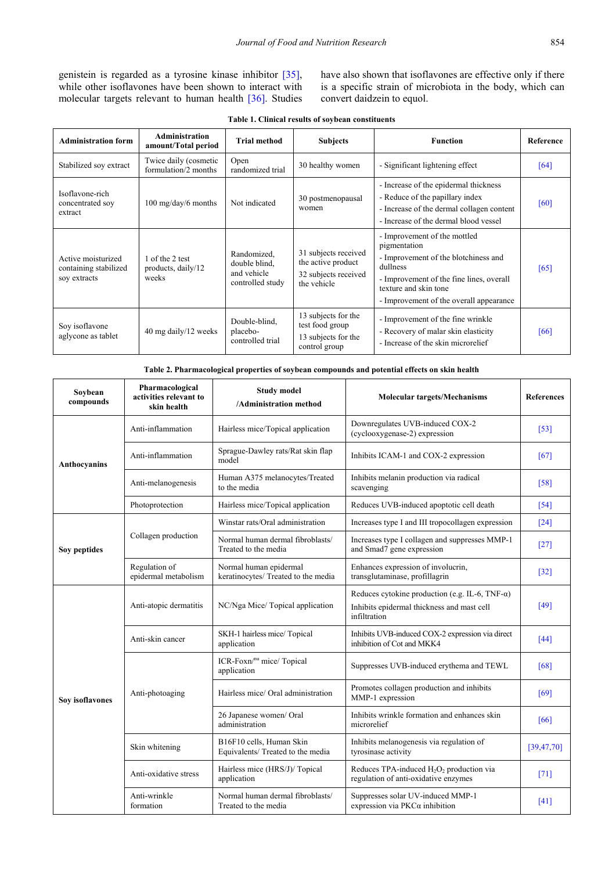have also shown that isoflavones are effective only if there is a specific strain of microbiota in the body, which can convert daidzein to equol.

| Table 1. Clinical results of soybean constituents |  |  |  |
|---------------------------------------------------|--|--|--|
|---------------------------------------------------|--|--|--|

<span id="page-2-0"></span>

| <b>Administration form</b>                                  | <b>Administration</b><br>amount/Total period   | <b>Trial method</b>                                             | <b>Subjects</b>                                                                   | <b>Function</b>                                                                                                                                                                                                  | Reference |
|-------------------------------------------------------------|------------------------------------------------|-----------------------------------------------------------------|-----------------------------------------------------------------------------------|------------------------------------------------------------------------------------------------------------------------------------------------------------------------------------------------------------------|-----------|
| Stabilized soy extract                                      | Twice daily (cosmetic<br>formulation/2 months  | Open<br>randomized trial                                        | 30 healthy women                                                                  | - Significant lightening effect                                                                                                                                                                                  | [64]      |
| Isoflavone-rich<br>concentrated soy<br>extract              | $100 \text{ mg/day}/6 \text{ months}$          | Not indicated                                                   | 30 postmenopausal<br>women                                                        | - Increase of the epidermal thickness<br>- Reduce of the papillary index<br>- Increase of the dermal collagen content<br>- Increase of the dermal blood vessel                                                   | [60]      |
| Active moisturized<br>containing stabilized<br>soy extracts | 1 of the 2 test<br>products, daily/12<br>weeks | Randomized,<br>double blind.<br>and vehicle<br>controlled study | 31 subjects received<br>the active product<br>32 subjects received<br>the vehicle | - Improvement of the mottled<br>pigmentation<br>- Improvement of the blotchiness and<br>dullness<br>- Improvement of the fine lines, overall<br>texture and skin tone<br>- Improvement of the overall appearance | [65]      |
| Sov isoflavone<br>aglycone as tablet                        | 40 mg daily/12 weeks                           | Double-blind.<br>placebo-<br>controlled trial                   | 13 subjects for the<br>test food group<br>13 subjects for the<br>control group    | - Improvement of the fine wrinkle<br>- Recovery of malar skin elasticity<br>- Increase of the skin microrelief                                                                                                   | [66]      |

|  |  | Table 2. Pharmacological properties of soybean compounds and potential effects on skin health |  |
|--|--|-----------------------------------------------------------------------------------------------|--|
|  |  |                                                                                               |  |

<span id="page-2-1"></span>

| Sovbean<br>compounds | Pharmacological<br>activities relevant to<br>skin health | <b>Study model</b><br>/Administration method                  | <b>Molecular targets/Mechanisms</b>                                                                                   | <b>References</b>  |
|----------------------|----------------------------------------------------------|---------------------------------------------------------------|-----------------------------------------------------------------------------------------------------------------------|--------------------|
| Anthocyanins         | Anti-inflammation                                        | Hairless mice/Topical application                             | Downregulates UVB-induced COX-2<br>(cyclooxygenase-2) expression                                                      | $[53]$             |
|                      | Anti-inflammation                                        | Sprague-Dawley rats/Rat skin flap<br>model                    | Inhibits ICAM-1 and COX-2 expression                                                                                  | [67]               |
|                      | Anti-melanogenesis                                       | Human A375 melanocytes/Treated<br>to the media                | Inhibits melanin production via radical<br>scavenging                                                                 | $[58]$             |
|                      | Photoprotection                                          | Hairless mice/Topical application                             | Reduces UVB-induced apoptotic cell death                                                                              | [54]               |
|                      |                                                          | Winstar rats/Oral administration                              | Increases type I and III tropocollagen expression                                                                     | $\lceil 24 \rceil$ |
| Soy peptides         | Collagen production                                      | Normal human dermal fibroblasts/<br>Treated to the media      | Increases type I collagen and suppresses MMP-1<br>and Smad7 gene expression                                           | $\lceil 27 \rceil$ |
|                      | Regulation of<br>epidermal metabolism                    | Normal human epidermal<br>keratinocytes/ Treated to the media | Enhances expression of involucrin,<br>transglutaminase, profillagrin                                                  | $[32]$             |
| Soy isoflavones      | Anti-atopic dermatitis                                   | NC/Nga Mice/Topical application                               | Reduces cytokine production (e.g. IL-6, TNF- $\alpha$ )<br>Inhibits epidermal thickness and mast cell<br>infiltration | $[49]$             |
|                      | Anti-skin cancer                                         | SKH-1 hairless mice/ Topical<br>application                   | Inhibits UVB-induced COX-2 expression via direct<br>inhibition of Cot and MKK4                                        | $[44]$             |
|                      |                                                          | ICR-Foxn/nu mice/ Topical<br>application                      | Suppresses UVB-induced erythema and TEWL                                                                              | [68]               |
|                      | Anti-photoaging                                          | Hairless mice/ Oral administration                            | Promotes collagen production and inhibits<br>MMP-1 expression                                                         | [69]               |
|                      |                                                          | 26 Japanese women/ Oral<br>administration                     | Inhibits wrinkle formation and enhances skin<br>microrelief                                                           | [66]               |
|                      | Skin whitening                                           | B16F10 cells, Human Skin<br>Equivalents/Treated to the media  | Inhibits melanogenesis via regulation of<br>tyrosinase activity                                                       | [39, 47, 70]       |
|                      | Anti-oxidative stress                                    | Hairless mice (HRS/J)/ Topical<br>application                 | Reduces TPA-induced $H_2O_2$ production via<br>regulation of anti-oxidative enzymes                                   | [71]               |
|                      | Anti-wrinkle<br>formation                                | Normal human dermal fibroblasts/<br>Treated to the media      | Suppresses solar UV-induced MMP-1<br>expression via $PKC\alpha$ inhibition                                            | [41]               |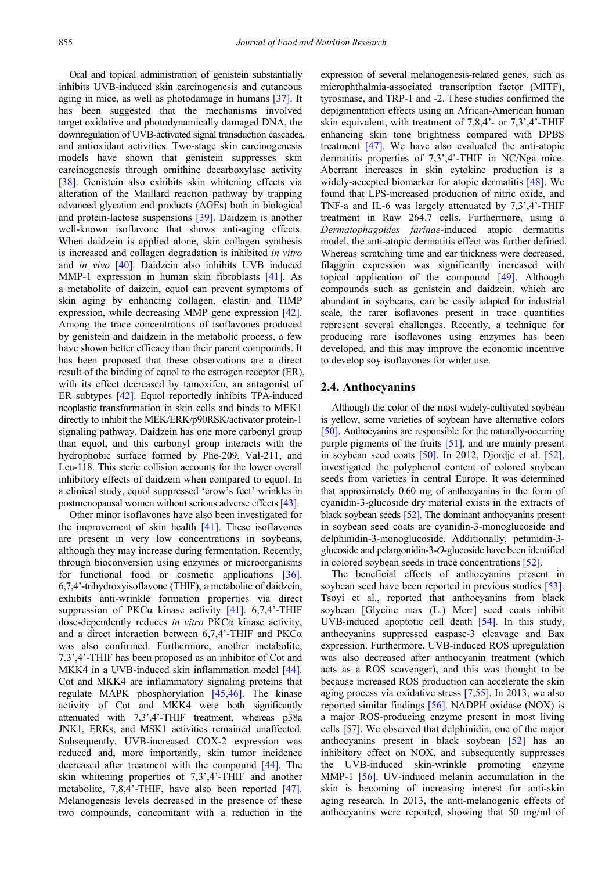Oral and topical administration of genistein substantially inhibits UVB-induced skin carcinogenesis and cutaneous aging in mice, as well as photodamage in humans [\[37\].](#page-5-20) It has been suggested that the mechanisms involved target oxidative and photodynamically damaged DNA, the downregulation of UVB-activated signal transduction cascades, and antioxidant activities. Two-stage skin carcinogenesis models have shown that genistein suppresses skin carcinogenesis through ornithine decarboxylase activity [\[38\].](#page-5-21) Genistein also exhibits skin whitening effects via alteration of the Maillard reaction pathway by trapping advanced glycation end products (AGEs) both in biological and protein-lactose suspensions [\[39\].](#page-5-18) Daidzein is another well-known isoflavone that shows anti-aging effects. When daidzein is applied alone, skin collagen synthesis is increased and collagen degradation is inhibited *in vitro* and *in vivo* [\[40\].](#page-5-22) Daidzein also inhibits UVB induced MMP-1 expression in human skin fibroblasts [\[41\].](#page-5-19) As a metabolite of daizein, equol can prevent symptoms of skin aging by enhancing collagen, elastin and TIMP expression, while decreasing MMP gene expression [\[42\].](#page-5-23) Among the trace concentrations of isoflavones produced by genistein and daidzein in the metabolic process, a few have shown better efficacy than their parent compounds. It has been proposed that these observations are a direct result of the binding of equol to the estrogen receptor (ER), with its effect decreased by tamoxifen, an antagonist of ER subtypes [\[42\].](#page-5-23) Equol reportedly inhibits TPA-induced neoplastic transformation in skin cells and binds to MEK1 directly to inhibit the MEK/ERK/p90RSK/activator protein-1 signaling pathway. Daidzein has one more carbonyl group than equol, and this carbonyl group interacts with the hydrophobic surface formed by Phe-209, Val-211, and Leu-118. This steric collision accounts for the lower overall inhibitory effects of daidzein when compared to equol. In a clinical study, equol suppressed 'crow's feet' wrinkles in postmenopausal women without serious adverse effects [\[43\].](#page-5-24)

Other minor isoflavones have also been investigated for the improvement of skin health [\[41\].](#page-5-19) These isoflavones are present in very low concentrations in soybeans, although they may increase during fermentation. Recently, through bioconversion using enzymes or microorganisms for functional food or cosmetic applications [\[36\].](#page-5-8) 6,7,4'-trihydroxyisoflavone (THIF), a metabolite of daidzein, exhibits anti-wrinkle formation properties via direct suppression of PKC $\alpha$  kinase activity [\[41\].](#page-5-19) 6,7,4'-THIF dose-dependently reduces *in vitro* PKCα kinase activity, and a direct interaction between  $6,7,4$ <sup>2</sup>-THIF and PKC $\alpha$ was also confirmed. Furthermore, another metabolite, 7.3',4'-THIF has been proposed as an inhibitor of Cot and MKK4 in a UVB-induced skin inflammation model [\[44\].](#page-5-17) Cot and MKK4 are inflammatory signaling proteins that regulate MAPK phosphorylation [\[45,46\].](#page-5-25) The kinase activity of Cot and MKK4 were both significantly attenuated with 7,3',4'-THIF treatment, whereas p38a JNK1, ERKs, and MSK1 activities remained unaffected. Subsequently, UVB-increased COX-2 expression was reduced and, more importantly, skin tumor incidence decreased after treatment with the compound [\[44\].](#page-5-17) The skin whitening properties of 7,3',4'-THIF and another metabolite, 7,8,4'-THIF, have also been reported [\[47\].](#page-5-26) Melanogenesis levels decreased in the presence of these two compounds, concomitant with a reduction in the

expression of several melanogenesis-related genes, such as microphthalmia-associated transcription factor (MITF), tyrosinase, and TRP-1 and -2. These studies confirmed the depigmentation effects using an African-American human skin equivalent, with treatment of 7,8,4'- or 7,3',4'-THIF enhancing skin tone brightness compared with DPBS treatment [\[47\].](#page-5-26) We have also evaluated the anti-atopic dermatitis properties of 7,3',4'-THIF in NC/Nga mice. Aberrant increases in skin cytokine production is a widely-accepted biomarker for atopic dermatitis [\[48\].](#page-5-27) We found that LPS-increased production of nitric oxide, and TNF-a and IL-6 was largely attenuated by 7,3',4'-THIF treatment in Raw 264.7 cells. Furthermore, using a *Dermatophagoides farinae*-induced atopic dermatitis model, the anti-atopic dermatitis effect was further defined. Whereas scratching time and ear thickness were decreased, filaggrin expression was significantly increased with topical application of the compound [\[49\].](#page-5-16) Although compounds such as genistein and daidzein, which are abundant in soybeans, can be easily adapted for industrial scale, the rarer isoflavones present in trace quantities represent several challenges. Recently, a technique for producing rare isoflavones using enzymes has been developed, and this may improve the economic incentive to develop soy isoflavones for wider use.

#### **2.4. Anthocyanins**

Although the color of the most widely-cultivated soybean is yellow, some varieties of soybean have alternative colors [\[50\].](#page-5-28) Anthocyanins are responsible for the naturally-occurring purple pigments of the fruits [\[51\],](#page-5-29) and are mainly present in soybean seed coats [\[50\].](#page-5-28) In 2012, Djordje et al. [\[52\],](#page-5-30) investigated the polyphenol content of colored soybean seeds from varieties in central Europe. It was determined that approximately 0.60 mg of anthocyanins in the form of cyanidin-3-glucoside dry material exists in the extracts of black soybean seeds [\[52\].](#page-5-30) The dominant anthocyanins present in soybean seed coats are cyanidin-3-monoglucoside and delphinidin-3-monoglucoside. Additionally, petunidin-3 glucoside and pelargonidin-3-*O*-glucoside have been identified in colored soybean seeds in trace concentrations [\[52\].](#page-5-30)

The beneficial effects of anthocyanins present in soybean seed have been reported in previous studies [\[53\].](#page-5-13) Tsoyi et al., reported that anthocyanins from black soybean [Glycine max (L.) Merr] seed coats inhibit UVB-induced apoptotic cell death [\[54\].](#page-5-15) In this study, anthocyanins suppressed caspase-3 cleavage and Bax expression. Furthermore, UVB-induced ROS upregulation was also decreased after anthocyanin treatment (which acts as a ROS scavenger), and this was thought to be because increased ROS production can accelerate the skin aging process via oxidative stress [\[7,55\].](#page-4-4) In 2013, we also reported similar findings [\[56\].](#page-5-31) NADPH oxidase (NOX) is a major ROS-producing enzyme present in most living cells [\[57\].](#page-5-32) We observed that delphinidin, one of the major anthocyanins present in black soybean [\[52\]](#page-5-30) has an inhibitory effect on NOX, and subsequently suppresses the UVB-induced skin-wrinkle promoting enzyme MMP-1 [\[56\].](#page-5-31) UV-induced melanin accumulation in the skin is becoming of increasing interest for anti-skin aging research. In 2013, the anti-melanogenic effects of anthocyanins were reported, showing that 50 mg/ml of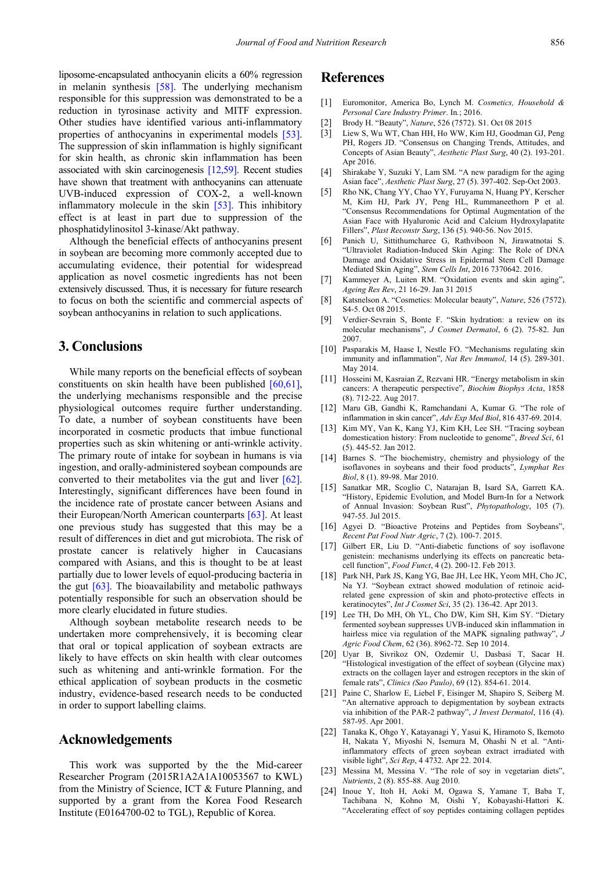liposome-encapsulated anthocyanin elicits a 60% regression in melanin synthesis [\[58\].](#page-5-14) The underlying mechanism responsible for this suppression was demonstrated to be a reduction in tyrosinase activity and MITF expression. Other studies have identified various anti-inflammatory properties of anthocyanins in experimental models [\[53\].](#page-5-13) The suppression of skin inflammation is highly significant for skin health, as chronic skin inflammation has been associated with skin carcinogenesis [\[12,59\].](#page-4-9) Recent studies have shown that treatment with anthocyanins can attenuate UVB-induced expression of COX-2, a well-known inflammatory molecule in the skin [\[53\].](#page-5-13) This inhibitory effect is at least in part due to suppression of the phosphatidylinositol 3-kinase/Akt pathway.

Although the beneficial effects of anthocyanins present in soybean are becoming more commonly accepted due to accumulating evidence, their potential for widespread application as novel cosmetic ingredients has not been extensively discussed. Thus, it is necessary for future research to focus on both the scientific and commercial aspects of soybean anthocyanins in relation to such applications.

# **3. Conclusions**

While many reports on the beneficial effects of soybean constituents on skin health have been published [\[60,61\],](#page-5-10) the underlying mechanisms responsible and the precise physiological outcomes require further understanding. To date, a number of soybean constituents have been incorporated in cosmetic products that imbue functional properties such as skin whitening or anti-wrinkle activity. The primary route of intake for soybean in humans is via ingestion, and orally-administered soybean compounds are converted to their metabolites via the gut and liver [\[62\].](#page-5-33) Interestingly, significant differences have been found in the incidence rate of prostate cancer between Asians and their European/North American counterparts [\[63\].](#page-5-34) At least one previous study has suggested that this may be a result of differences in diet and gut microbiota. The risk of prostate cancer is relatively higher in Caucasians compared with Asians, and this is thought to be at least partially due to lower levels of equol-producing bacteria in the gut [\[63\].](#page-5-34) The bioavailability and metabolic pathways potentially responsible for such an observation should be more clearly elucidated in future studies.

Although soybean metabolite research needs to be undertaken more comprehensively, it is becoming clear that oral or topical application of soybean extracts are likely to have effects on skin health with clear outcomes such as whitening and anti-wrinkle formation. For the ethical application of soybean products in the cosmetic industry, evidence-based research needs to be conducted in order to support labelling claims.

### **Acknowledgements**

This work was supported by the the Mid-career Researcher Program (2015R1A2A1A10053567 to KWL) from the Ministry of Science, ICT & Future Planning, and supported by a grant from the Korea Food Research Institute (E0164700-02 to TGL), Republic of Korea.

## **References**

- <span id="page-4-0"></span>[1] Euromonitor, America Bo, Lynch M. *Cosmetics, Household & Personal Care Industry Primer*. In*.*; 2016.
- <span id="page-4-1"></span>[2] Brody H. "Beauty", *Nature*, 526 (7572). S1. Oct 08 2015
- <span id="page-4-2"></span>[3] Liew S, Wu WT, Chan HH, Ho WW, Kim HJ, Goodman GJ, Peng PH, Rogers JD. "Consensus on Changing Trends, Attitudes, and Concepts of Asian Beauty", *Aesthetic Plast Surg*, 40 (2). 193-201. Apr 2016.
- [4] Shirakabe Y, Suzuki Y, Lam SM. "A new paradigm for the aging Asian face", *Aesthetic Plast Surg*, 27 (5). 397-402. Sep-Oct 2003.
- [5] Rho NK, Chang YY, Chao YY, Furuyama N, Huang PY, Kerscher M, Kim HJ, Park JY, Peng HL, Rummaneethorn P et al. "Consensus Recommendations for Optimal Augmentation of the Asian Face with Hyaluronic Acid and Calcium Hydroxylapatite Fillers", *Plast Reconstr Surg*, 136 (5). 940-56. Nov 2015.
- <span id="page-4-3"></span>[6] Panich U, Sittithumcharee G, Rathviboon N, Jirawatnotai S. "Ultraviolet Radiation-Induced Skin Aging: The Role of DNA Damage and Oxidative Stress in Epidermal Stem Cell Damage Mediated Skin Aging", *Stem Cells Int*, 2016 7370642. 2016.
- <span id="page-4-4"></span>[7] Kammeyer A, Luiten RM. "Oxidation events and skin aging", *Ageing Res Rev*, 21 16-29. Jan 31 2015
- <span id="page-4-5"></span>[8] Katsnelson A. "Cosmetics: Molecular beauty", *Nature*, 526 (7572). S4-5. Oct 08 2015.
- <span id="page-4-6"></span>[9] Verdier-Sevrain S, Bonte F. "Skin hydration: a review on its molecular mechanisms", *J Cosmet Dermatol*, 6 (2). 75-82. Jun 2007.
- <span id="page-4-7"></span>[10] Pasparakis M, Haase I, Nestle FO. "Mechanisms regulating skin immunity and inflammation", *Nat Rev Immunol*, 14 (5). 289-301. May 2014.
- <span id="page-4-8"></span>[11] Hosseini M, Kasraian Z, Rezvani HR. "Energy metabolism in skin cancers: A therapeutic perspective", *Biochim Biophys Acta*, 1858 (8). 712-22. Aug 2017.
- <span id="page-4-9"></span>[12] Maru GB, Gandhi K, Ramchandani A, Kumar G. "The role of inflammation in skin cancer", *Adv Exp Med Biol*, 816 437-69. 2014.
- <span id="page-4-10"></span>[13] Kim MY, Van K, Kang YJ, Kim KH, Lee SH. "Tracing soybean domestication history: From nucleotide to genome", *Breed Sci*, 61 (5). 445-52. Jan 2012.
- <span id="page-4-13"></span>[14] Barnes S. "The biochemistry, chemistry and physiology of the isoflavones in soybeans and their food products", *Lymphat Res Biol*, 8 (1). 89-98. Mar 2010.
- [15] Sanatkar MR, Scoglio C, Natarajan B, Isard SA, Garrett KA. "History, Epidemic Evolution, and Model Burn-In for a Network of Annual Invasion: Soybean Rust", *Phytopathology*, 105 (7). 947-55. Jul 2015.
- <span id="page-4-11"></span>[16] Agyei D. "Bioactive Proteins and Peptides from Sovbeans", *Recent Pat Food Nutr Agric*, 7 (2). 100-7. 2015.
- <span id="page-4-12"></span>[17] Gilbert ER, Liu D. "Anti-diabetic functions of soy isoflavone genistein: mechanisms underlying its effects on pancreatic betacell function", *Food Funct*, 4 (2). 200-12. Feb 2013.
- <span id="page-4-14"></span>[18] Park NH, Park JS, Kang YG, Bae JH, Lee HK, Yeom MH, Cho JC, Na YJ. "Soybean extract showed modulation of retinoic acidrelated gene expression of skin and photo-protective effects in keratinocytes", *Int J Cosmet Sci*, 35 (2). 136-42. Apr 2013.
- <span id="page-4-15"></span>[19] Lee TH, Do MH, Oh YL, Cho DW, Kim SH, Kim SY. "Dietary fermented soybean suppresses UVB-induced skin inflammation in hairless mice via regulation of the MAPK signaling pathway", *J Agric Food Chem*, 62 (36). 8962-72. Sep 10 2014.
- <span id="page-4-16"></span>[20] Uyar B, Sivrikoz ON, Ozdemir U, Dasbasi T, Sacar H. "Histological investigation of the effect of soybean (Glycine max) extracts on the collagen layer and estrogen receptors in the skin of female rats", *Clinics (Sao Paulo)*, 69 (12). 854-61. 2014.
- <span id="page-4-17"></span>[21] Paine C, Sharlow E, Liebel F, Eisinger M, Shapiro S, Seiberg M. "An alternative approach to depigmentation by soybean extracts via inhibition of the PAR-2 pathway", *J Invest Dermatol*, 116 (4). 587-95. Apr 2001.
- <span id="page-4-18"></span>[22] Tanaka K, Ohgo Y, Katayanagi Y, Yasui K, Hiramoto S, Ikemoto H, Nakata Y, Miyoshi N, Isemura M, Ohashi N et al. "Antiinflammatory effects of green soybean extract irradiated with visible light", *Sci Rep*, 4 4732. Apr 22. 2014.
- <span id="page-4-19"></span>[23] Messina M, Messina V. "The role of soy in vegetarian diets", *Nutrients*, 2 (8). 855-88. Aug 2010.
- <span id="page-4-20"></span>[24] Inoue Y, Itoh H, Aoki M, Ogawa S, Yamane T, Baba T, Tachibana N, Kohno M, Oishi Y, Kobayashi-Hattori K. "Accelerating effect of soy peptides containing collagen peptides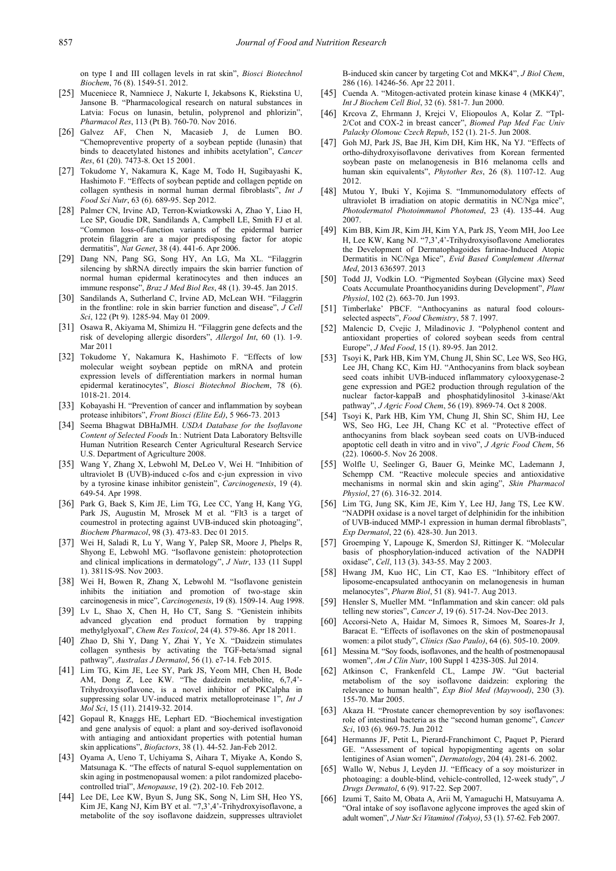on type I and III collagen levels in rat skin", *Biosci Biotechnol Biochem*, 76 (8). 1549-51. 2012.

- <span id="page-5-0"></span>[25] Muceniece R, Namniece J, Nakurte I, Jekabsons K, Riekstina U, Jansone B. "Pharmacological research on natural substances in Latvia: Focus on lunasin, betulin, polyprenol and phlorizin", *Pharmacol Res*, 113 (Pt B). 760-70. Nov 2016.
- <span id="page-5-1"></span>[26] Galvez AF, Chen N, Macasieb J, de Lumen BO. "Chemopreventive property of a soybean peptide (lunasin) that binds to deacetylated histones and inhibits acetylation", *Cancer Res*, 61 (20). 7473-8. Oct 15 2001.
- <span id="page-5-2"></span>[27] Tokudome Y, Nakamura K, Kage M, Todo H, Sugibayashi K, Hashimoto F. "Effects of soybean peptide and collagen peptide on collagen synthesis in normal human dermal fibroblasts", *Int J Food Sci Nutr*, 63 (6). 689-95. Sep 2012.
- <span id="page-5-3"></span>[28] Palmer CN, Irvine AD, Terron-Kwiatkowski A, Zhao Y, Liao H, Lee SP, Goudie DR, Sandilands A, Campbell LE, Smith FJ et al. "Common loss-of-function variants of the epidermal barrier protein filaggrin are a major predisposing factor for atopic dermatitis", *Nat Genet*, 38 (4). 441-6. Apr 2006.
- [29] Dang NN, Pang SG, Song HY, An LG, Ma XL. "Filaggrin silencing by shRNA directly impairs the skin barrier function of normal human epidermal keratinocytes and then induces an immune response", *Braz J Med Biol Res*, 48 (1). 39-45. Jan 2015.
- [30] Sandilands A, Sutherland C, Irvine AD, McLean WH. "Filaggrin in the frontline: role in skin barrier function and disease", *J Cell Sci*, 122 (Pt 9). 1285-94. May 01 2009.
- [31] Osawa R, Akiyama M, Shimizu H. "Filaggrin gene defects and the risk of developing allergic disorders", *Allergol Int*, 60 (1). 1-9. Mar 2011
- <span id="page-5-4"></span>[32] Tokudome Y, Nakamura K, Hashimoto F. "Effects of low molecular weight soybean peptide on mRNA and protein expression levels of differentiation markers in normal human epidermal keratinocytes", *Biosci Biotechnol Biochem*, 78 (6). 1018-21. 2014.
- <span id="page-5-5"></span>[33] Kobayashi H. "Prevention of cancer and inflammation by soybean protease inhibitors", *Front Biosci (Elite Ed)*, 5 966-73. 2013
- <span id="page-5-6"></span>[34] Seema Bhagwat DBHaJMH. *USDA Database for the Isoflavone Content of Selected Foods* In*.*: Nutrient Data Laboratory Beltsville Human Nutrition Research Center Agricultural Research Service U.S. Department of Agriculture 2008.
- <span id="page-5-7"></span>[35] Wang Y, Zhang X, Lebwohl M, DeLeo V, Wei H. "Inhibition of ultraviolet B (UVB)-induced c-fos and c-jun expression in vivo by a tyrosine kinase inhibitor genistein", *Carcinogenesis*, 19 (4). 649-54. Apr 1998.
- <span id="page-5-8"></span>[36] Park G, Baek S, Kim JE, Lim TG, Lee CC, Yang H, Kang YG, Park JS, Augustin M, Mrosek M et al. "Flt3 is a target of coumestrol in protecting against UVB-induced skin photoaging", *Biochem Pharmacol*, 98 (3). 473-83. Dec 01 2015.
- <span id="page-5-20"></span>[37] Wei H, Saladi R, Lu Y, Wang Y, Palep SR, Moore J, Phelps R, Shyong E, Lebwohl MG. "Isoflavone genistein: photoprotection and clinical implications in dermatology", *J Nutr*, 133 (11 Suppl 1). 3811S-9S. Nov 2003.
- <span id="page-5-21"></span>[38] Wei H, Bowen R, Zhang X, Lebwohl M. "Isoflavone genistein inhibits the initiation and promotion of two-stage skin carcinogenesis in mice", *Carcinogenesis*, 19 (8). 1509-14. Aug 1998.
- <span id="page-5-18"></span>[39] Lv L, Shao X, Chen H, Ho CT, Sang S. "Genistein inhibits advanced glycation end product formation by trapping methylglyoxal", *Chem Res Toxicol*, 24 (4). 579-86. Apr 18 2011.
- <span id="page-5-22"></span>[40] Zhao D, Shi Y, Dang Y, Zhai Y, Ye X. "Daidzein stimulates collagen synthesis by activating the TGF-beta/smad signal pathway", *Australas J Dermatol*, 56 (1). e7-14. Feb 2015.
- <span id="page-5-19"></span>[41] Lim TG, Kim JE, Lee SY, Park JS, Yeom MH, Chen H, Bode AM, Dong Z, Lee KW. "The daidzein metabolite, 6,7,4'- Trihydroxyisoflavone, is a novel inhibitor of PKCalpha in suppressing solar UV-induced matrix metalloproteinase 1<sup>7</sup>, *Int J Mol Sci*, 15 (11). 21419-32. 2014.
- <span id="page-5-23"></span>[42] Gopaul R, Knaggs HE, Lephart ED. "Biochemical investigation and gene analysis of equol: a plant and soy-derived isoflavonoid with antiaging and antioxidant properties with potential human skin applications", *Biofactors*, 38 (1). 44-52. Jan-Feb 2012.
- <span id="page-5-24"></span>[43] Oyama A, Ueno T, Uchiyama S, Aihara T, Miyake A, Kondo S, Matsunaga K. "The effects of natural S-equol supplementation on skin aging in postmenopausal women: a pilot randomized placebocontrolled trial", *Menopause*, 19 (2). 202-10. Feb 2012.
- <span id="page-5-17"></span>[44] Lee DE, Lee KW, Byun S, Jung SK, Song N, Lim SH, Heo YS, Kim JE, Kang NJ, Kim BY et al. "7,3',4'-Trihydroxyisoflavone, a metabolite of the soy isoflavone daidzein, suppresses ultraviolet

B-induced skin cancer by targeting Cot and MKK4", *J Biol Chem*, 286 (16). 14246-56. Apr 22 2011.

- <span id="page-5-25"></span>[45] Cuenda A. "Mitogen-activated protein kinase kinase 4 (MKK4)", *Int J Biochem Cell Biol*, 32 (6). 581-7. Jun 2000.
- [46] Krcova Z, Ehrmann J, Krejci V, Eliopoulos A, Kolar Z. "Tpl-2/Cot and COX-2 in breast cancer", *Biomed Pap Med Fac Univ Palacky Olomouc Czech Repub*, 152 (1). 21-5. Jun 2008.
- <span id="page-5-26"></span>[47] Goh MJ, Park JS, Bae JH, Kim DH, Kim HK, Na YJ. "Effects of ortho-dihydroxyisoflavone derivatives from Korean fermented soybean paste on melanogenesis in B16 melanoma cells and human skin equivalents", *Phytother Res*, 26 (8). 1107-12. Aug 2012.
- <span id="page-5-27"></span>[48] Mutou Y, Ibuki Y, Kojima S. "Immunomodulatory effects of ultraviolet B irradiation on atopic dermatitis in NC/Nga mice". *Photodermatol Photoimmunol Photomed*, 23 (4). 135-44. Aug 2007.
- <span id="page-5-16"></span>[49] Kim BB, Kim JR, Kim JH, Kim YA, Park JS, Yeom MH, Joo Lee H, Lee KW, Kang NJ. "7,3',4'-Trihydroxyisoflavone Ameliorates the Development of Dermatophagoides farinae-Induced Atopic Dermatitis in NC/Nga Mice", *Evid Based Complement Alternat Med*, 2013 636597. 2013
- <span id="page-5-28"></span>[50] Todd JJ, Vodkin LO. "Pigmented Soybean (Glycine max) Seed Coats Accumulate Proanthocyanidins during Development", *Plant Physiol*, 102 (2). 663-70. Jun 1993.
- <span id="page-5-29"></span>[51] Timberlake' PBCF. "Anthocyanins as natural food coloursselected aspects", *Food Chemistry*, 58 7. 1997.
- <span id="page-5-30"></span>[52] Malencic D, Cvejic J, Miladinovic J. "Polyphenol content and antioxidant properties of colored soybean seeds from central Europe", *J Med Food*, 15 (1). 89-95. Jan 2012.
- <span id="page-5-13"></span>[53] Tsoyi K, Park HB, Kim YM, Chung JI, Shin SC, Lee WS, Seo HG, Lee JH, Chang KC, Kim HJ. "Anthocyanins from black soybean seed coats inhibit UVB-induced inflammatory cylooxygenase-2 gene expression and PGE2 production through regulation of the nuclear factor-kappaB and phosphatidylinositol 3-kinase/Akt pathway", *J Agric Food Chem*, 56 (19). 8969-74. Oct 8 2008.
- <span id="page-5-15"></span>[54] Tsoyi K, Park HB, Kim YM, Chung JI, Shin SC, Shim HJ, Lee WS, Seo HG, Lee JH, Chang KC et al. "Protective effect of anthocyanins from black soybean seed coats on UVB-induced apoptotic cell death in vitro and in vivo", *J Agric Food Chem*, 56 (22). 10600-5. Nov 26 2008.
- [55] Wolfle U, Seelinger G, Bauer G, Meinke MC, Lademann J, Schempp CM. "Reactive molecule species and antioxidative mechanisms in normal skin and skin aging", *Skin Pharmacol Physiol*, 27 (6). 316-32. 2014.
- <span id="page-5-31"></span>[56] Lim TG, Jung SK, Kim JE, Kim Y, Lee HJ, Jang TS, Lee KW. "NADPH oxidase is a novel target of delphinidin for the inhibition of UVB-induced MMP-1 expression in human dermal fibroblasts", *Exp Dermatol*, 22 (6). 428-30. Jun 2013.
- <span id="page-5-32"></span>[57] Groemping Y, Lapouge K, Smerdon SJ, Rittinger K. "Molecular basis of phosphorylation-induced activation of the NADPH oxidase", *Cell*, 113 (3). 343-55. May 2 2003.
- <span id="page-5-14"></span>[58] Hwang JM, Kuo HC, Lin CT, Kao ES. "Inhibitory effect of liposome-encapsulated anthocyanin on melanogenesis in human melanocytes", *Pharm Biol*, 51 (8). 941-7. Aug 2013.
- [59] Hensler S, Mueller MM. "Inflammation and skin cancer: old pals telling new stories", *Cancer J*, 19 (6). 517-24. Nov-Dec 2013.
- <span id="page-5-10"></span>[60] Accorsi-Neto A, Haidar M, Simoes R, Simoes M, Soares-Jr J, Baracat E. "Effects of isoflavones on the skin of postmenopausal women: a pilot study", *Clinics (Sao Paulo)*, 64 (6). 505-10. 2009.
- [61] Messina M. "Soy foods, isoflavones, and the health of postmenopausal women", *Am J Clin Nutr*, 100 Suppl 1 423S-30S. Jul 2014.
- <span id="page-5-33"></span>[62] Atkinson C, Frankenfeld CL, Lampe JW. "Gut bacterial metabolism of the soy isoflavone daidzein: exploring the relevance to human health", *Exp Biol Med (Maywood)*, 230 (3). 155-70. Mar 2005.
- <span id="page-5-34"></span>[63] Akaza H. "Prostate cancer chemoprevention by soy isoflavones: role of intestinal bacteria as the "second human genome", *Cancer Sci*, 103 (6). 969-75. Jun 2012
- <span id="page-5-9"></span>[64] Hermanns JF, Petit L, Pierard-Franchimont C, Paquet P, Pierard GE. "Assessment of topical hypopigmenting agents on solar lentigines of Asian women", *Dermatology*, 204 (4). 281-6. 2002.
- <span id="page-5-11"></span>[65] Wallo W, Nebus J, Leyden JJ. "Efficacy of a soy moisturizer in photoaging: a double-blind, vehicle-controlled, 12-week study", *J Drugs Dermatol*, 6 (9). 917-22. Sep 2007.
- <span id="page-5-12"></span>[66] Izumi T, Saito M, Obata A, Arii M, Yamaguchi H, Matsuyama A. "Oral intake of soy isoflavone aglycone improves the aged skin of adult women", *J Nutr Sci Vitaminol (Tokyo)*, 53 (1). 57-62. Feb 2007.